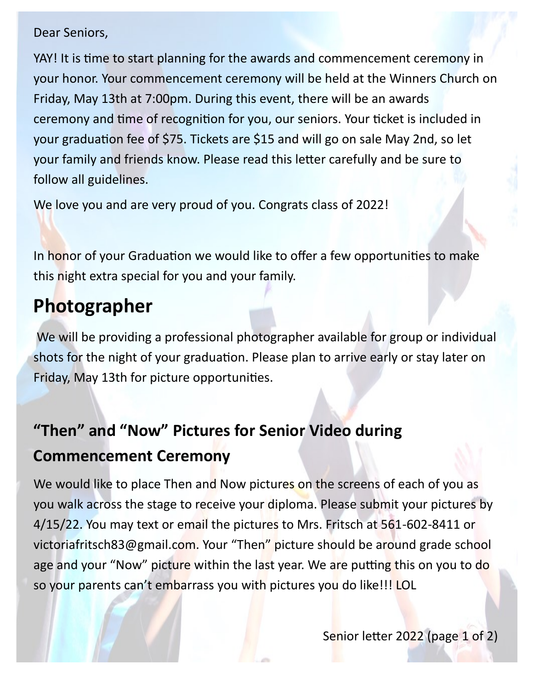#### Dear Seniors,

YAY! It is time to start planning for the awards and commencement ceremony in your honor. Your commencement ceremony will be held at the Winners Church on Friday, May 13th at 7:00pm. During this event, there will be an awards ceremony and time of recognition for you, our seniors. Your ticket is included in your graduation fee of \$75. Tickets are \$15 and will go on sale May 2nd, so let your family and friends know. Please read this letter carefully and be sure to follow all guidelines.

We love you and are very proud of you. Congrats class of 2022!

In honor of your Graduation we would like to offer a few opportunities to make this night extra special for you and your family.

## **Photographer**

We will be providing a professional photographer available for group or individual shots for the night of your graduation. Please plan to arrive early or stay later on Friday, May 13th for picture opportunities.

## **"Then" and "Now" Pictures for Senior Video during Commencement Ceremony**

We would like to place Then and Now pictures on the screens of each of you as you walk across the stage to receive your diploma. Please submit your pictures by 4/15/22. You may text or email the pictures to Mrs. Fritsch at 561-602-8411 or victoriafritsch83@gmail.com. Your "Then" picture should be around grade school age and your "Now" picture within the last year. We are putting this on you to do so your parents can't embarrass you with pictures you do like!!! LOL

Senior letter 2022 (page 1 of 2)